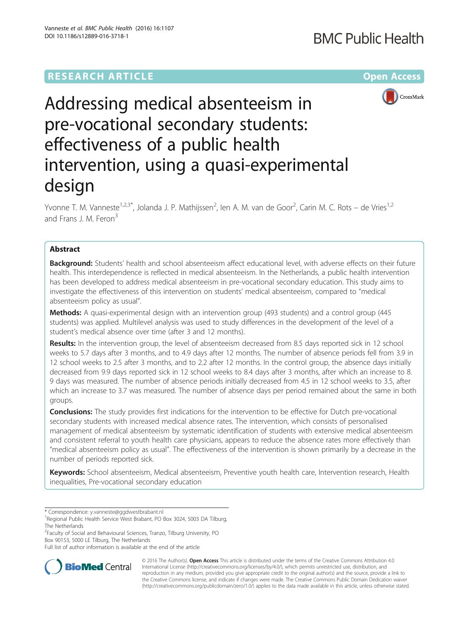## **RESEARCH ARTICLE Example 2018 12:00 Department of the Contract Open Access**

## **BMC Public Health**



# Addressing medical absenteeism in pre-vocational secondary students: effectiveness of a public health intervention, using a quasi-experimental design

Yvonne T. M. Vanneste<sup>1,2,3\*</sup>, Jolanda J. P. Mathijssen<sup>2</sup>, len A. M. van de Goor<sup>2</sup>, Carin M. C. Rots – de Vries<sup>1,2</sup> and Frans J. M. Feron<sup>3</sup>

## Abstract

**Background:** Students' health and school absenteeism affect educational level, with adverse effects on their future health. This interdependence is reflected in medical absenteeism. In the Netherlands, a public health intervention has been developed to address medical absenteeism in pre-vocational secondary education. This study aims to investigate the effectiveness of this intervention on students' medical absenteeism, compared to "medical absenteeism policy as usual".

Methods: A quasi-experimental design with an intervention group (493 students) and a control group (445 students) was applied. Multilevel analysis was used to study differences in the development of the level of a student's medical absence over time (after 3 and 12 months).

Results: In the intervention group, the level of absenteeism decreased from 8.5 days reported sick in 12 school weeks to 5.7 days after 3 months, and to 4.9 days after 12 months. The number of absence periods fell from 3.9 in 12 school weeks to 2.5 after 3 months, and to 2.2 after 12 months. In the control group, the absence days initially decreased from 9.9 days reported sick in 12 school weeks to 8.4 days after 3 months, after which an increase to 8. 9 days was measured. The number of absence periods initially decreased from 4.5 in 12 school weeks to 3.5, after which an increase to 3.7 was measured. The number of absence days per period remained about the same in both groups.

**Conclusions:** The study provides first indications for the intervention to be effective for Dutch pre-vocational secondary students with increased medical absence rates. The intervention, which consists of personalised management of medical absenteeism by systematic identification of students with extensive medical absenteeism and consistent referral to youth health care physicians, appears to reduce the absence rates more effectively than "medical absenteeism policy as usual". The effectiveness of the intervention is shown primarily by a decrease in the number of periods reported sick.

Keywords: School absenteeism, Medical absenteeism, Preventive youth health care, Intervention research, Health inequalities, Pre-vocational secondary education

\* Correspondence: [y.vanneste@ggdwestbrabant.nl](mailto:y.vanneste@ggdwestbrabant.nl) <sup>1</sup>

<sup>2</sup> Faculty of Social and Behavioural Sciences, Tranzo, Tilburg University, PO Box 90153, 5000 LE Tilburg, The Netherlands

Full list of author information is available at the end of the article



© 2016 The Author(s). Open Access This article is distributed under the terms of the Creative Commons Attribution 4.0 International License [\(http://creativecommons.org/licenses/by/4.0/](http://creativecommons.org/licenses/by/4.0/)), which permits unrestricted use, distribution, and reproduction in any medium, provided you give appropriate credit to the original author(s) and the source, provide a link to the Creative Commons license, and indicate if changes were made. The Creative Commons Public Domain Dedication waiver [\(http://creativecommons.org/publicdomain/zero/1.0/](http://creativecommons.org/publicdomain/zero/1.0/)) applies to the data made available in this article, unless otherwise stated.

<sup>&</sup>lt;sup>1</sup>Regional Public Health Service West Brabant, PO Box 3024, 5003 DA Tilburg, The Netherlands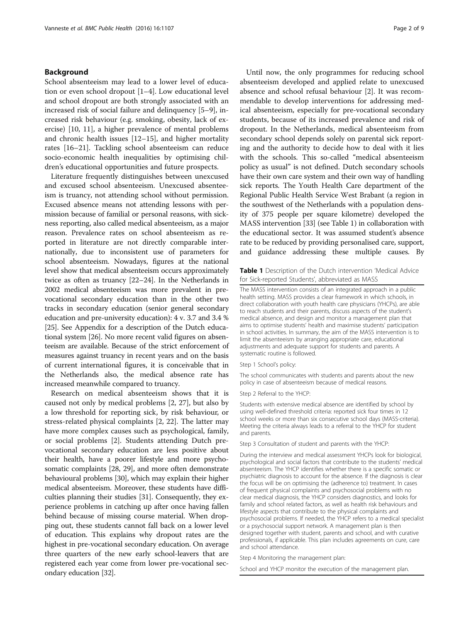## Background

School absenteeism may lead to a lower level of education or even school dropout [[1](#page-7-0)–[4](#page-7-0)]. Low educational level and school dropout are both strongly associated with an increased risk of social failure and delinquency [[5](#page-7-0)–[9\]](#page-7-0), increased risk behaviour (e.g. smoking, obesity, lack of exercise) [[10, 11](#page-7-0)], a higher prevalence of mental problems and chronic health issues [[12](#page-7-0)–[15](#page-7-0)], and higher mortality rates [\[16](#page-7-0)–[21\]](#page-7-0). Tackling school absenteeism can reduce socio-economic health inequalities by optimising children's educational opportunities and future prospects.

Literature frequently distinguishes between unexcused and excused school absenteeism. Unexcused absenteeism is truancy, not attending school without permission. Excused absence means not attending lessons with permission because of familial or personal reasons, with sickness reporting, also called medical absenteeism, as a major reason. Prevalence rates on school absenteeism as reported in literature are not directly comparable internationally, due to inconsistent use of parameters for school absenteeism. Nowadays, figures at the national level show that medical absenteeism occurs approximately twice as often as truancy [\[22](#page-7-0)–[24](#page-7-0)]. In the Netherlands in 2002 medical absenteeism was more prevalent in prevocational secondary education than in the other two tracks in secondary education (senior general secondary education and pre-university education): 4 v. 3.7 and 3.4 % [[25](#page-7-0)]. See [Appendix](#page-6-0) for a description of the Dutch educational system [\[26\]](#page-7-0). No more recent valid figures on absenteeism are available. Because of the strict enforcement of measures against truancy in recent years and on the basis of current international figures, it is conceivable that in the Netherlands also, the medical absence rate has increased meanwhile compared to truancy.

Research on medical absenteeism shows that it is caused not only by medical problems [[2,](#page-7-0) [27\]](#page-8-0), but also by a low threshold for reporting sick, by risk behaviour, or stress-related physical complaints [\[2, 22](#page-7-0)]. The latter may have more complex causes such as psychological, family, or social problems [\[2](#page-7-0)]. Students attending Dutch prevocational secondary education are less positive about their health, have a poorer lifestyle and more psychosomatic complaints [\[28](#page-8-0), [29\]](#page-8-0), and more often demonstrate behavioural problems [[30](#page-8-0)], which may explain their higher medical absenteeism. Moreover, these students have difficulties planning their studies [[31](#page-8-0)]. Consequently, they experience problems in catching up after once having fallen behind because of missing course material. When dropping out, these students cannot fall back on a lower level of education. This explains why dropout rates are the highest in pre-vocational secondary education. On average three quarters of the new early school-leavers that are registered each year come from lower pre-vocational secondary education [\[32\]](#page-8-0).

Until now, the only programmes for reducing school absenteeism developed and applied relate to unexcused absence and school refusal behaviour [\[2](#page-7-0)]. It was recommendable to develop interventions for addressing medical absenteeism, especially for pre-vocational secondary students, because of its increased prevalence and risk of dropout. In the Netherlands, medical absenteeism from secondary school depends solely on parental sick reporting and the authority to decide how to deal with it lies with the schools. This so-called "medical absenteeism policy as usual" is not defined. Dutch secondary schools have their own care system and their own way of handling sick reports. The Youth Health Care department of the Regional Public Health Service West Brabant (a region in the southwest of the Netherlands with a population density of 375 people per square kilometre) developed the MASS intervention [\[33\]](#page-8-0) (see Table 1) in collaboration with the educational sector. It was assumed student's absence rate to be reduced by providing personalised care, support, and guidance addressing these multiple causes. By

## Table 1 Description of the Dutch intervention 'Medical Advice for Sick-reported Students', abbreviated as MASS

The MASS intervention consists of an integrated approach in a public health setting. MASS provides a clear framework in which schools, in direct collaboration with youth health care physicians (YHCPs), are able to reach students and their parents, discuss aspects of the student's medical absence, and design and monitor a management plan that aims to optimise students' health and maximise students' participation in school activities. In summary, the aim of the MASS intervention is to limit the absenteeism by arranging appropriate care, educational adjustments and adequate support for students and parents. A systematic routine is followed.

#### Step 1 School's policy:

The school communicates with students and parents about the new policy in case of absenteeism because of medical reasons.

#### Step 2 Referral to the YHCP:

Students with extensive medical absence are identified by school by using well-defined threshold criteria: reported sick four times in 12 school weeks or more than six consecutive school days (MASS-criteria). Meeting the criteria always leads to a referral to the YHCP for student and parents.

Step 3 Consultation of student and parents with the YHCP:

During the interview and medical assessment YHCPs look for biological, psychological and social factors that contribute to the students' medical absenteeism. The YHCP identifies whether there is a specific somatic or psychiatric diagnosis to account for the absence. If the diagnosis is clear the focus will be on optimising the (adherence to) treatment. In cases of frequent physical complaints and psychosocial problems with no clear medical diagnosis, the YHCP considers diagnostics, and looks for family and school related factors, as well as health risk behaviours and lifestyle aspects that contribute to the physical complaints and psychosocial problems. If needed, the YHCP refers to a medical specialist or a psychosocial support network. A management plan is then designed together with student, parents and school, and with curative professionals, if applicable. This plan includes agreements on cure, care and school attendance.

Step 4 Monitoring the management plan:

School and YHCP monitor the execution of the management plan.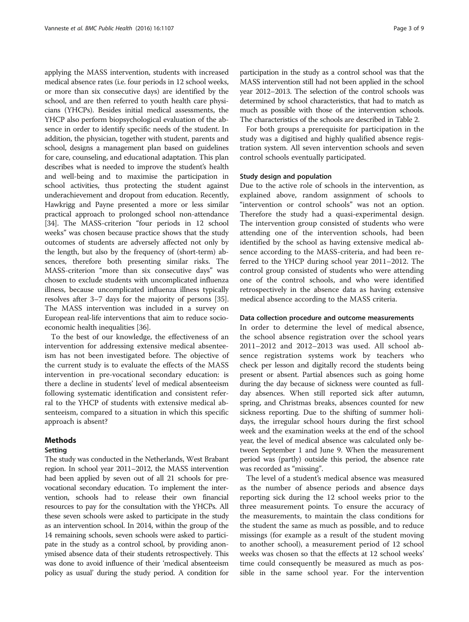applying the MASS intervention, students with increased medical absence rates (i.e. four periods in 12 school weeks, or more than six consecutive days) are identified by the school, and are then referred to youth health care physicians (YHCPs). Besides initial medical assessments, the YHCP also perform biopsychological evaluation of the absence in order to identify specific needs of the student. In addition, the physician, together with student, parents and school, designs a management plan based on guidelines for care, counseling, and educational adaptation. This plan describes what is needed to improve the student's health and well-being and to maximise the participation in school activities, thus protecting the student against underachievement and dropout from education. Recently, Hawkrigg and Payne presented a more or less similar practical approach to prolonged school non-attendance [[34](#page-8-0)]. The MASS-criterion "four periods in 12 school weeks" was chosen because practice shows that the study outcomes of students are adversely affected not only by the length, but also by the frequency of (short-term) absences, therefore both presenting similar risks. The MASS-criterion "more than six consecutive days" was chosen to exclude students with uncomplicated influenza illness, because uncomplicated influenza illness typically resolves after 3–7 days for the majority of persons [[35](#page-8-0)]. The MASS intervention was included in a survey on European real-life interventions that aim to reduce socioeconomic health inequalities [[36](#page-8-0)].

To the best of our knowledge, the effectiveness of an intervention for addressing extensive medical absenteeism has not been investigated before. The objective of the current study is to evaluate the effects of the MASS intervention in pre-vocational secondary education: is there a decline in students' level of medical absenteeism following systematic identification and consistent referral to the YHCP of students with extensive medical absenteeism, compared to a situation in which this specific approach is absent?

## Methods

## Setting

The study was conducted in the Netherlands, West Brabant region. In school year 2011–2012, the MASS intervention had been applied by seven out of all 21 schools for prevocational secondary education. To implement the intervention, schools had to release their own financial resources to pay for the consultation with the YHCPs. All these seven schools were asked to participate in the study as an intervention school. In 2014, within the group of the 14 remaining schools, seven schools were asked to participate in the study as a control school, by providing anonymised absence data of their students retrospectively. This was done to avoid influence of their 'medical absenteeism policy as usual' during the study period. A condition for

participation in the study as a control school was that the MASS intervention still had not been applied in the school year 2012–2013. The selection of the control schools was determined by school characteristics, that had to match as much as possible with those of the intervention schools. The characteristics of the schools are described in Table [2.](#page-3-0)

For both groups a prerequisite for participation in the study was a digitised and highly qualified absence registration system. All seven intervention schools and seven control schools eventually participated.

## Study design and population

Due to the active role of schools in the intervention, as explained above, random assignment of schools to "intervention or control schools" was not an option. Therefore the study had a quasi-experimental design. The intervention group consisted of students who were attending one of the intervention schools, had been identified by the school as having extensive medical absence according to the MASS-criteria, and had been referred to the YHCP during school year 2011–2012. The control group consisted of students who were attending one of the control schools, and who were identified retrospectively in the absence data as having extensive medical absence according to the MASS criteria.

## Data collection procedure and outcome measurements

In order to determine the level of medical absence, the school absence registration over the school years 2011–2012 and 2012–2013 was used. All school absence registration systems work by teachers who check per lesson and digitally record the students being present or absent. Partial absences such as going home during the day because of sickness were counted as fullday absences. When still reported sick after autumn, spring, and Christmas breaks, absences counted for new sickness reporting. Due to the shifting of summer holidays, the irregular school hours during the first school week and the examination weeks at the end of the school year, the level of medical absence was calculated only between September 1 and June 9. When the measurement period was (partly) outside this period, the absence rate was recorded as "missing".

The level of a student's medical absence was measured as the number of absence periods and absence days reporting sick during the 12 school weeks prior to the three measurement points. To ensure the accuracy of the measurements, to maintain the class conditions for the student the same as much as possible, and to reduce missings (for example as a result of the student moving to another school), a measurement period of 12 school weeks was chosen so that the effects at 12 school weeks' time could consequently be measured as much as possible in the same school year. For the intervention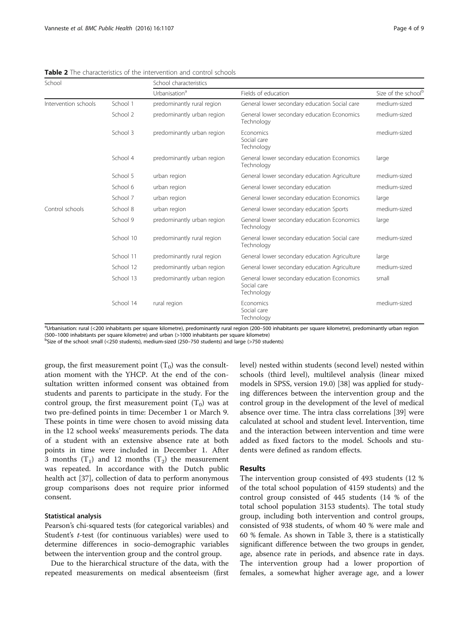<span id="page-3-0"></span>Table 2 The characteristics of the intervention and control schools

| School               |           | School characteristics     |                                                                          |                                 |
|----------------------|-----------|----------------------------|--------------------------------------------------------------------------|---------------------------------|
|                      |           | Urbanisation <sup>a</sup>  | Fields of education                                                      | Size of the school <sup>b</sup> |
| Intervention schools | School 1  | predominantly rural region | General lower secondary education Social care                            | medium-sized                    |
|                      | School 2  | predominantly urban region | General lower secondary education Economics<br>Technology                | medium-sized                    |
|                      | School 3  | predominantly urban region | <b>Fconomics</b><br>Social care<br>Technology                            | medium-sized                    |
|                      | School 4  | predominantly urban region | General lower secondary education Economics<br>Technology                | large                           |
|                      | School 5  | urban region               | General lower secondary education Agriculture                            | medium-sized                    |
|                      | School 6  | urban region               | General lower secondary education                                        | medium-sized                    |
|                      | School 7  | urban region               | General lower secondary education Economics                              | large                           |
| Control schools      | School 8  | urban region               | General lower secondary education Sports                                 | medium-sized                    |
|                      | School 9  | predominantly urban region | General lower secondary education Economics<br>Technology                | large                           |
|                      | School 10 | predominantly rural region | General lower secondary education Social care<br>Technology              | medium-sized                    |
|                      | School 11 | predominantly rural region | General lower secondary education Agriculture                            | large                           |
|                      | School 12 | predominantly urban region | General lower secondary education Agriculture                            | medium-sized                    |
|                      | School 13 | predominantly urban region | General lower secondary education Economics<br>Social care<br>Technology | small                           |
|                      | School 14 | rural region               | Economics<br>Social care<br>Technology                                   | medium-sized                    |

aUrbanisation: rural (<200 inhabitants per square kilometre), predominantly rural region (200–500 inhabitants per square kilometre), predominantly urban region (500–1000 inhabitants per square kilometre) and urban (>1000 inhabitants per square kilometre) <sup>b</sup>

 $<sup>b</sup>Size of the school: small (<250 students), medium-sized (250–750 students) and large (>750 students)$ </sup>

group, the first measurement point  $(T_0)$  was the consultation moment with the YHCP. At the end of the consultation written informed consent was obtained from students and parents to participate in the study. For the control group, the first measurement point  $(T_0)$  was at two pre-defined points in time: December 1 or March 9. These points in time were chosen to avoid missing data in the 12 school weeks' measurements periods. The data of a student with an extensive absence rate at both points in time were included in December 1. After 3 months  $(T_1)$  and 12 months  $(T_2)$  the measurement was repeated. In accordance with the Dutch public health act [\[37](#page-8-0)], collection of data to perform anonymous group comparisons does not require prior informed consent.

### Statistical analysis

Pearson's chi-squared tests (for categorical variables) and Student's t-test (for continuous variables) were used to determine differences in socio-demographic variables between the intervention group and the control group.

Due to the hierarchical structure of the data, with the repeated measurements on medical absenteeism (first level) nested within students (second level) nested within schools (third level), multilevel analysis (linear mixed models in SPSS, version 19.0) [\[38\]](#page-8-0) was applied for studying differences between the intervention group and the control group in the development of the level of medical absence over time. The intra class correlations [\[39\]](#page-8-0) were calculated at school and student level. Intervention, time and the interaction between intervention and time were added as fixed factors to the model. Schools and students were defined as random effects.

### Results

The intervention group consisted of 493 students (12 % of the total school population of 4159 students) and the control group consisted of 445 students (14 % of the total school population 3153 students). The total study group, including both intervention and control groups, consisted of 938 students, of whom 40 % were male and 60 % female. As shown in Table [3](#page-4-0), there is a statistically significant difference between the two groups in gender, age, absence rate in periods, and absence rate in days. The intervention group had a lower proportion of females, a somewhat higher average age, and a lower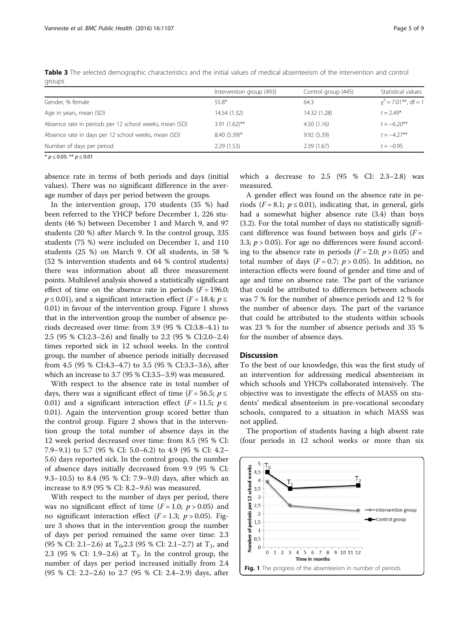|                                                        | Intervention group (493) | Control group (445) | Statistical values     |
|--------------------------------------------------------|--------------------------|---------------------|------------------------|
| Gender, % female                                       | 55.8*                    | 64.3                | $x^2$ = 7.01**, df = 1 |
| Age in years, mean (SD)                                | 14.54 (1.32)             | 14.32 (1.28)        | $t = 2.49*$            |
| Absence rate in periods per 12 school weeks, mean (SD) | $3.91(1.62)$ **          | 4.50(1.16)          | $t = -6.20**$          |
| Absence rate in days per 12 school weeks, mean (SD)    | $8.40(5.39)$ *           | 9.92(5.39)          | $t = -4.27**$          |
| Number of days per period                              | 2.29(1.53)               | 2.39(1.67)          | $t = -0.95$            |

<span id="page-4-0"></span>Table 3 The selected demographic characteristics and the initial values of medical absenteeism of the intervention and control groups

\*  $p \le 0.05$ ; \*\*  $p \le 0.01$ 

absence rate in terms of both periods and days (initial values). There was no significant difference in the average number of days per period between the groups.

In the intervention group, 170 students (35 %) had been referred to the YHCP before December 1, 226 students (46 %) between December 1 and March 9, and 97 students (20 %) after March 9. In the control group, 335 students (75 %) were included on December 1, and 110 students (25 %) on March 9. Of all students, in 58 % (52 % intervention students and 64 % control students) there was information about all three measurement points. Multilevel analysis showed a statistically significant effect of time on the absence rate in periods  $(F = 196.0;$  $p \le 0.01$ ), and a significant interaction effect ( $F = 18.4$ ;  $p \le$ 0.01) in favour of the intervention group. Figure 1 shows that in the intervention group the number of absence periods decreased over time: from 3.9 (95 % CI:3.8–4.1) to 2.5 (95 % CI:2.3–2.6) and finally to 2.2 (95 % CI:2.0–2.4) times reported sick in 12 school weeks. In the control group, the number of absence periods initially decreased from 4.5 (95 % CI:4.3–4.7) to 3.5 (95 % CI:3.3–3.6), after which an increase to 3.7 (95 % CI:3.5–3.9) was measured.

With respect to the absence rate in total number of days, there was a significant effect of time ( $F = 56.5$ ;  $p \le$ 0.01) and a significant interaction effect ( $F = 11.5$ ;  $p \le$ 0.01). Again the intervention group scored better than the control group. Figure [2](#page-5-0) shows that in the intervention group the total number of absence days in the 12 week period decreased over time: from 8.5 (95 % CI: 7.9–9.1) to 5.7 (95 % CI: 5.0–6.2) to 4.9 (95 % CI: 4.2– 5.6) days reported sick. In the control group, the number of absence days initially decreased from 9.9 (95 % CI: 9.3–10.5) to 8.4 (95 % CI: 7.9–9.0) days, after which an increase to 8.9 (95 % CI: 8.2–9.6) was measured.

With respect to the number of days per period, there was no significant effect of time  $(F = 1.0; p > 0.05)$  and no significant interaction effect  $(F = 1.3; p > 0.05)$ . Figure [3](#page-5-0) shows that in the intervention group the number of days per period remained the same over time: 2.3 (95 % CI: 2.1–2.6) at  $T_0$ , 2.3 (95 % CI: 2.1–2.7) at  $T_1$ , and 2.3 (95 % CI: 1.9–2.6) at  $T_2$ . In the control group, the number of days per period increased initially from 2.4 (95 % CI: 2.2–2.6) to 2.7 (95 % CI: 2.4–2.9) days, after

which a decrease to 2.5 (95 % CI: 2.3–2.8) was measured.

A gender effect was found on the absence rate in periods ( $F = 8.1$ ;  $p \le 0.01$ ), indicating that, in general, girls had a somewhat higher absence rate (3.4) than boys (3.2). For the total number of days no statistically significant difference was found between boys and girls  $(F =$ 3.3;  $p > 0.05$ ). For age no differences were found according to the absence rate in periods  $(F = 2.0; p > 0.05)$  and total number of days ( $F = 0.7$ ;  $p > 0.05$ ). In addition, no interaction effects were found of gender and time and of age and time on absence rate. The part of the variance that could be attributed to differences between schools was 7 % for the number of absence periods and 12 % for the number of absence days. The part of the variance that could be attributed to the students within schools was 23 % for the number of absence periods and 35 % for the number of absence days.

## **Discussion**

To the best of our knowledge, this was the first study of an intervention for addressing medical absenteeism in which schools and YHCPs collaborated intensively. The objective was to investigate the effects of MASS on students' medical absenteeism in pre-vocational secondary schools, compared to a situation in which MASS was not applied.

The proportion of students having a high absent rate (four periods in 12 school weeks or more than six

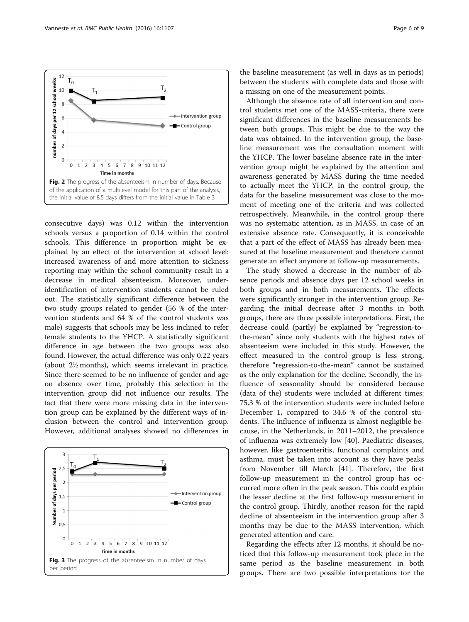<span id="page-5-0"></span>

consecutive days) was 0.12 within the intervention schools versus a proportion of 0.14 within the control schools. This difference in proportion might be explained by an effect of the intervention at school level: increased awareness of and more attention to sickness reporting may within the school community result in a decrease in medical absenteeism. Moreover, underidentification of intervention students cannot be ruled out. The statistically significant difference between the two study groups related to gender (56 % of the intervention students and 64 % of the control students was male) suggests that schools may be less inclined to refer female students to the YHCP. A statistically significant difference in age between the two groups was also found. However, the actual difference was only 0.22 years (about 2½ months), which seems irrelevant in practice. Since there seemed to be no influence of gender and age on absence over time, probably this selection in the intervention group did not influence our results. The fact that there were more missing data in the intervention group can be explained by the different ways of inclusion between the control and intervention group. However, additional analyses showed no differences in



the baseline measurement (as well in days as in periods) between the students with complete data and those with a missing on one of the measurement points.

Although the absence rate of all intervention and control students met one of the MASS-criteria, there were significant differences in the baseline measurements between both groups. This might be due to the way the data was obtained. In the intervention group, the baseline measurement was the consultation moment with the YHCP. The lower baseline absence rate in the intervention group might be explained by the attention and awareness generated by MASS during the time needed to actually meet the YHCP. In the control group, the data for the baseline measurement was close to the moment of meeting one of the criteria and was collected retrospectively. Meanwhile, in the control group there was no systematic attention, as in MASS, in case of an extensive absence rate. Consequently, it is conceivable that a part of the effect of MASS has already been measured at the baseline measurement and therefore cannot generate an effect anymore at follow-up measurements.

The study showed a decrease in the number of absence periods and absence days per 12 school weeks in both groups and in both measurements. The effects were significantly stronger in the intervention group. Regarding the initial decrease after 3 months in both groups, there are three possible interpretations. First, the decrease could (partly) be explained by "regression-tothe-mean" since only students with the highest rates of absenteeism were included in this study. However, the effect measured in the control group is less strong, therefore "regression-to-the-mean" cannot be sustained as the only explanation for the decline. Secondly, the influence of seasonality should be considered because (data of the) students were included at different times: 75.3 % of the intervention students were included before December 1, compared to 34.6 % of the control students. The influence of influenza is almost negligible because, in the Netherlands, in 2011–2012, the prevalence of influenza was extremely low [\[40\]](#page-8-0). Paediatric diseases, however, like gastroenteritis, functional complaints and asthma, must be taken into account as they have peaks from November till March [\[41](#page-8-0)]. Therefore, the first follow-up measurement in the control group has occurred more often in the peak season. This could explain the lesser decline at the first follow-up measurement in the control group. Thirdly, another reason for the rapid decline of absenteeism in the intervention group after 3 months may be due to the MASS intervention, which generated attention and care.

Regarding the effects after 12 months, it should be noticed that this follow-up measurement took place in the same period as the baseline measurement in both groups. There are two possible interpretations for the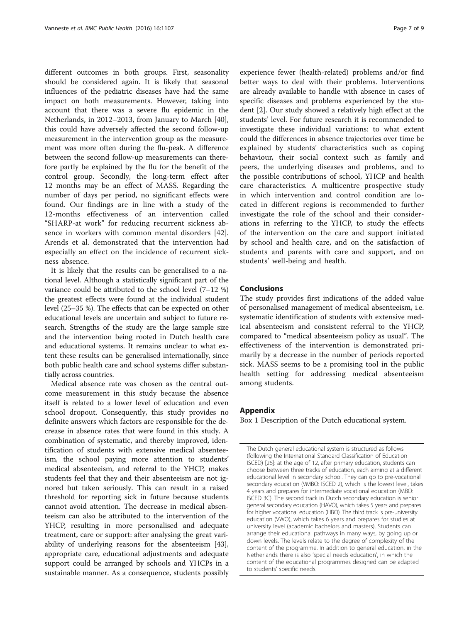<span id="page-6-0"></span>different outcomes in both groups. First, seasonality should be considered again. It is likely that seasonal influences of the pediatric diseases have had the same impact on both measurements. However, taking into account that there was a severe flu epidemic in the Netherlands, in 2012–2013, from January to March [\[40](#page-8-0)], this could have adversely affected the second follow-up measurement in the intervention group as the measurement was more often during the flu-peak. A difference between the second follow-up measurements can therefore partly be explained by the flu for the benefit of the control group. Secondly, the long-term effect after 12 months may be an effect of MASS. Regarding the number of days per period, no significant effects were found. Our findings are in line with a study of the 12-months effectiveness of an intervention called "SHARP-at work" for reducing recurrent sickness absence in workers with common mental disorders [\[42](#page-8-0)]. Arends et al. demonstrated that the intervention had especially an effect on the incidence of recurrent sickness absence.

It is likely that the results can be generalised to a national level. Although a statistically significant part of the variance could be attributed to the school level (7–12 %) the greatest effects were found at the individual student level (25–35 %). The effects that can be expected on other educational levels are uncertain and subject to future research. Strengths of the study are the large sample size and the intervention being rooted in Dutch health care and educational systems. It remains unclear to what extent these results can be generalised internationally, since both public health care and school systems differ substantially across countries.

Medical absence rate was chosen as the central outcome measurement in this study because the absence itself is related to a lower level of education and even school dropout. Consequently, this study provides no definite answers which factors are responsible for the decrease in absence rates that were found in this study. A combination of systematic, and thereby improved, identification of students with extensive medical absenteeism, the school paying more attention to students' medical absenteeism, and referral to the YHCP, makes students feel that they and their absenteeism are not ignored but taken seriously. This can result in a raised threshold for reporting sick in future because students cannot avoid attention. The decrease in medical absenteeism can also be attributed to the intervention of the YHCP, resulting in more personalised and adequate treatment, care or support: after analysing the great variability of underlying reasons for the absenteeism [\[43](#page-8-0)], appropriate care, educational adjustments and adequate support could be arranged by schools and YHCPs in a sustainable manner. As a consequence, students possibly experience fewer (health-related) problems and/or find better ways to deal with their problems. Interventions are already available to handle with absence in cases of specific diseases and problems experienced by the student [\[2](#page-7-0)]. Our study showed a relatively high effect at the students' level. For future research it is recommended to investigate these individual variations: to what extent could the differences in absence trajectories over time be explained by students' characteristics such as coping behaviour, their social context such as family and peers, the underlying diseases and problems, and to the possible contributions of school, YHCP and health care characteristics. A multicentre prospective study in which intervention and control condition are located in different regions is recommended to further investigate the role of the school and their considerations in referring to the YHCP, to study the effects of the intervention on the care and support initiated by school and health care, and on the satisfaction of students and parents with care and support, and on students' well-being and health.

## Conclusions

The study provides first indications of the added value of personalised management of medical absenteeism, i.e. systematic identification of students with extensive medical absenteeism and consistent referral to the YHCP, compared to "medical absenteeism policy as usual". The effectiveness of the intervention is demonstrated primarily by a decrease in the number of periods reported sick. MASS seems to be a promising tool in the public health setting for addressing medical absenteeism among students.

## Appendix

Box 1 Description of the Dutch educational system.

The Dutch general educational system is structured as follows (following the International Standard Classification of Education ISCED) [[26](#page-7-0)]: at the age of 12, after primary education, students can choose between three tracks of education, each aiming at a different educational level in secondary school. They can go to pre-vocational secondary education (VMBO: ISCED 2), which is the lowest level, takes 4 years and prepares for intermediate vocational education (MBO: ISCED 3C). The second track in Dutch secondary education is senior general secondary education (HAVO), which takes 5 years and prepares for higher vocational education (HBO). The third track is pre-university education (VWO), which takes 6 years and prepares for studies at university level (academic bachelors and masters). Students can arrange their educational pathways in many ways, by going up or down levels. The levels relate to the degree of complexity of the content of the programme. In addition to general education, in the Netherlands there is also 'special needs education', in which the content of the educational programmes designed can be adapted to students' specific needs.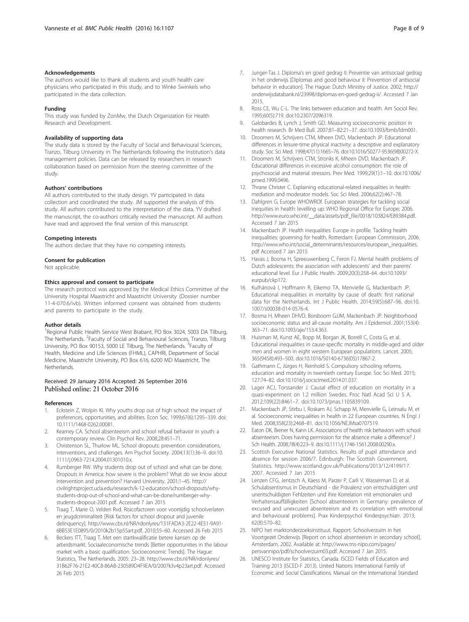#### <span id="page-7-0"></span>Acknowledgements

The authors would like to thank all students and youth health care physicians who participated in this study, and to Winke Swinkels who participated in the data collection.

#### Funding

This study was funded by ZonMw, the Dutch Organization for Health Research and Development.

#### Availability of supporting data

The study data is stored by the Faculty of Social and Behavioural Sciences, Tranzo, Tilburg University in The Netherlands following the Institution's data management policies. Data can be released by researchers in research collaboration based on permission from the steering committee of the study.

#### Authors' contributions

All authors contributed to the study design. YV participated in data collection and coordinated the study. JM supported the analysis of this study. All authors contributed to the interpretation of the data. YV drafted the manuscript, the co-authors critically revised the manuscript. All authors have read and approved the final version of this manuscript.

#### Competing interests

The authors declare that they have no competing interests.

#### Consent for publication

Not applicable.

#### Ethics approval and consent to participate

The research protocol was approved by the Medical Ethics Committee of the University Hospital Maastricht and Maastricht University (Dossier number 11-4-070.6/ivb). Written informed consent was obtained from students and parents to participate in the study.

#### Author details

<sup>1</sup>Regional Public Health Service West Brabant, PO Box 3024, 5003 DA Tilburg, The Netherlands. <sup>2</sup>Faculty of Social and Behavioural Sciences, Tranzo, Tilburg University, PO Box 90153, 5000 LE Tilburg, The Netherlands. <sup>3</sup>Faculty of Health, Medicine and Life Sciences (FHML), CAPHRI, Department of Social Medicine, Maastricht University, PO Box 616, 6200 MD Maastricht, The **Netherlands** 

#### Received: 29 January 2016 Accepted: 26 September 2016 Published online: 21 October 2016

#### References

- 1. Eckstein Z, Wolpin KI. Why youths drop out of high school: the impact of preferences, opportunities, and abilities. Econ Soc. 1999;67(6):1295–339. doi: [10.1111/1468-0262.00081](http://dx.doi.org/10.1111/1468-0262.00081).
- 2. Kearney CA. School absenteeism and school refusal behavior in youth: a contemporary review. Clin Psychol Rev. 2008;28:451–71.
- 3. Christenson SL, Thurlow ML. School dropouts: prevention considerations, interventions, and challenges. Am Psychol Society. 2004;13(1):36–9. doi[:10.](http://dx.doi.org/10.1111/j.0963-7214.2004.01301010.x) [1111/j.0963-7214.2004.01301010.x](http://dx.doi.org/10.1111/j.0963-7214.2004.01301010.x).
- Rumberger RW. Why students drop out of school and what can be done. Dropouts in America: how severe is the problem? What do we know about intervention and prevention? Harvard University. 2001;1–45. [http://](http://civilrightsproject.ucla.edu/research/k-12-education/school-dropouts/why-students-drop-out-of-school-and-what-can-be-done/rumberger-why-students-dropout-2001.pdf) [civilrightsproject.ucla.edu/research/k-12-education/school-dropouts/why](http://civilrightsproject.ucla.edu/research/k-12-education/school-dropouts/why-students-drop-out-of-school-and-what-can-be-done/rumberger-why-students-dropout-2001.pdf)[students-drop-out-of-school-and-what-can-be-done/rumberger-why](http://civilrightsproject.ucla.edu/research/k-12-education/school-dropouts/why-students-drop-out-of-school-and-what-can-be-done/rumberger-why-students-dropout-2001.pdf)[students-dropout-2001.pdf.](http://civilrightsproject.ucla.edu/research/k-12-education/school-dropouts/why-students-drop-out-of-school-and-what-can-be-done/rumberger-why-students-dropout-2001.pdf) Accessed 7 Jan 2015
- 5. Traag T, Marie O, Velden Rvd. Risicofactoren voor voortijdig schoolverlaten en jeugdcriminaliteit [Risk factors for school dropout and juvenile delinquency]. [http://www.cbs.nl/NR/rdonlyres/131FADA3-2E22-4E51-9A91-](http://www.cbs.nl/NR/rdonlyres/131FADA3-2E22-4E51-9A91-6BB53E1E0895/0/2010k2b15p55art.pdf) [6BB53E1E0895/0/2010k2b15p55art.pdf.](http://www.cbs.nl/NR/rdonlyres/131FADA3-2E22-4E51-9A91-6BB53E1E0895/0/2010k2b15p55art.pdf) 2010;55–60. Accessed 26 Feb 2015
- 6. Beckers ITT, Traag T. Met een startkwalificatie betere kansen op de arbeidsmarkt. Sociaaleconomische trends [Better opportunities in the labour market with a basic qualification. Socioeconomic Trends]. The Hague: Statistics, The Netherlands, 2005: 23–28. [http://www.cbs.nl/NR/rdonlyres/](http://www.cbs.nl/NR/rdonlyres/31B62F76-21E2-40C8-86AB-230589D4F9EA/0/2007k3v4p23art.pdf) [31B62F76-21E2-40C8-86AB-230589D4F9EA/0/2007k3v4p23art.pdf.](http://www.cbs.nl/NR/rdonlyres/31B62F76-21E2-40C8-86AB-230589D4F9EA/0/2007k3v4p23art.pdf) Accessed 26 Feb 2015
- 7. Junger-Tas J. Diploma's en goed gedrag II: Preventie van antisociaal gedrag in het onderwijs [Diplomas and good behaviour II: Prevention of antisocial behavior in education]. The Hague: Dutch Ministry of Justice. 2002; [http://](http://onderwijsdatabank.nl/23998/diplomas-en-goed-gedrag-ii/) [onderwijsdatabank.nl/23998/diplomas-en-goed-gedrag-ii/.](http://onderwijsdatabank.nl/23998/diplomas-en-goed-gedrag-ii/) Accessed 7 Jan 2015.
- 8. Ross CE, Wu C-L. The links between education and health. Am Sociol Rev. 1995;60(5):719. doi:[10.2307/2096319.](http://dx.doi.org/10.2307/2096319)
- 9. Galobardes B, Lynch J, Smith GD. Measuring socioeconomic position in health research. Br Med Bull. 2007;81–82:21–37. doi:[10.1093/bmb/ldm001](http://dx.doi.org/10.1093/bmb/ldm001).
- 10. Droomers M, Schrijvers CTM, Mheen DVD, Mackenbach JP. Educational differences in leisure-time physical inactivity: a descriptive and explanatory study. Soc Sci Med. 1998;47(11):1665–76. doi[:10.1016/S0277-9536\(98\)00272-X.](http://dx.doi.org/10.1016/S0277-9536(98)00272-X)
- 11. Droomers M, Schrijvers CTM, Stronks K, Mheen DVD, Mackenbach JP. Educational differences in excessive alcohol consumption: the role of psychosocial and material stressors. Prev Med. 1999;29(1):1–10. doi:[10.1006/](http://dx.doi.org/10.1006/pmed.1999.0496) [pmed.1999.0496](http://dx.doi.org/10.1006/pmed.1999.0496).
- 12. Thrane Christer C. Explaining educational-related inequalities in health: mediation and moderator models. Soc Sci Med. 2006;62(2):467–78.
- 13. Dahlgren G, Europe WHOWROf. European strategies for tackling social inequities in health: levelling up: WHO Regional Office for Europe; 2006. [http://www.euro.who.int/\\_\\_data/assets/pdf\\_file/0018/103824/E89384.pdf](http://www.euro.who.int/__data/assets/pdf_file/0018/103824/E89384.pdf). Accessed 7 Jan 2015
- 14. Mackenbach JP. Health inequalities: Europe in profile. Tackling health inequalities: governing for health. Rotterdam: European Commission, 2006. [http://www.who.int/social\\_determinants/resources/european\\_inequalities.](http://www.who.int/social_determinants/resources/european_inequalities.pdf) [pdf](http://www.who.int/social_determinants/resources/european_inequalities.pdf) Accessed 7 Jan 2015
- 15. Havas J, Bosma H, Spreeuwenberg C, Feron FJ. Mental health problems of Dutch adolescents: the association with adolescents' and their parents' educational level. Eur J Public Health. 2009;20(3):258–64. doi[:10.1093/](http://dx.doi.org/10.1093/eurpub/ckp172) [eurpub/ckp172.](http://dx.doi.org/10.1093/eurpub/ckp172)
- 16. Kulhánová I, Hoffmann R, Eikemo TA, Menvielle G, Mackenbach JP. Educational inequalities in mortality by cause of death: first national data for the Netherlands. Int J Public Health. 2014;59(5):687–96. doi:[10.](http://dx.doi.org/10.1007/s00038-014-0576-4) [1007/s00038-014-0576-4](http://dx.doi.org/10.1007/s00038-014-0576-4).
- 17. Bosma H, Mheen DHVD, Borsboom GJJM, Mackenbach JP. Neighborhood socioeconomic status and all-cause mortality. Am J Epidemiol. 2001;153(4): 363–71. doi:[10.1093/aje/153.4.363.](http://dx.doi.org/10.1093/aje/153.4.363)
- 18. Huisman M, Kunst AE, Bopp M, Borgan JK, Borrell C, Costa G, et al. Educational inequalities in cause-specific mortality in middle-aged and older men and women in eight western European populations. Lancet. 2005; 365(9458):493–500. doi[:10.1016/S0140-6736\(05\)17867-2](http://dx.doi.org/10.1016/S0140-6736(05)17867-2).
- 19. Gathmann C, Jürges H, Reinhold S. Compulsory schooling reforms, education and mortality in twentieth century Europe. Soc Sci Med. 2015; 127:74–82. doi:[10.1016/j.socscimed.2014.01.037.](http://dx.doi.org/10.1016/j.socscimed.2014.01.037)
- 20. Lager ACJ, Torssander J. Causal effect of education on mortality in a quasi-experiment on 1.2 million Swedes. Proc Natl Acad Sci U S A. 2012;109(22):8461–7. doi:[10.1073/pnas.1105839109.](http://dx.doi.org/10.1073/pnas.1105839109)
- 21. Mackenbach JP, Stirbu I, Roskam AJ, Schapp M, Menvielle G, Leinsalu M, et al. Socioeconomic inequalities in health in 22 European countries. N Engl J Med. 2008;358(23):2468–81. doi[:10.1056/NEJMsa0707519.](http://dx.doi.org/10.1056/NEJMsa0707519)
- 22. Eaton DK, Brener N, Kann LK. Associations of health risk behaviors with school absenteeism. Does having permission for the absence make a difference? J Sch Health. 2008;78(4):223–9. doi[:10.1111/j.1746-1561.2008.00290.x.](http://dx.doi.org/10.1111/j.1746-1561.2008.00290.x)
- 23. Scottish Executive National Statistics. Results of pupil attendance and absence for session 2006/7. Edinburgh: The Scottish Government, Statistics. [http://www.scotland.gov.uk/Publications/2013/12/4199/17.](http://www.scotland.gov.uk/Publications/2013/12/4199/17) 2007. Accessed 7 Jan 2015
- 24. Lenzen CFG, Jentzsch A, Kaess M, Parzer P, Carli V, Wasserman D, et al. Schulabsentismus in Deutschland - die Prävalenz von entschuldigten und unentschuldigten Fehlzeiten und ihre Korrelation mit emotionalen und Verhaltensauffälligkeiten [School absenteeism in Germany: prevalence of excused and unexcused absenteeism and its correlation with emotional and behavioural problems]. Prax Kinderpsychol Kinderpsychiatr. 2013; 62(8):570–82.
- 25. NIPO het marktonderzoeksinstituut. Rapport: Schoolverzuim in het Voortgezet Onderwijs [Report on school absenteeism in secondary school]. Amsterdam, 2002. Available at: [http://www.tns-nipo.com/pages/](http://www.tns-nipo.com/pages/persvannipo/pdf/schoolverzuim03.pdf) [persvannipo/pdf/schoolverzuim03.pdf.](http://www.tns-nipo.com/pages/persvannipo/pdf/schoolverzuim03.pdf) Accessed 7 Jan 2015.
- 26. UNESCO Institute for Statistics, Canada. ISCED Fields of Education and Training 2013 (ISCED-F 2013). United Nations International Family of Economic and Social Classifications. Manual on the International Standard